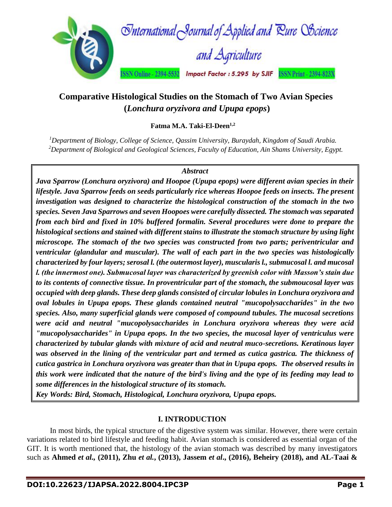

# **Comparative Histological Studies on the Stomach of Two Avian Species (***Lonchura oryzivora and Upupa epops***)**

**Fatma M.A. Taki-El-Deen1,2**

*<sup>1</sup>Department of Biology, College of Science, Qassim University, Buraydah, Kingdom of Saudi Arabia. <sup>2</sup>Department of Biological and Geological Sciences, Faculty of Education, Ain Shams University, Egypt.*

# *Abstract*

*Java Sparrow (Lonchura oryzivora) and Hoopoe (Upupa epops) were different avian species in their lifestyle. Java Sparrow feeds on seeds particularly rice whereas Hoopoe feeds on insects. The present investigation was designed to characterize the histological construction of the stomach in the two species. Seven Java Sparrows and seven Hoopoes were carefully dissected. The stomach was separated from each bird and fixed in 10% buffered formalin. Several procedures were done to prepare the histological sections and stained with different stains to illustrate the stomach structure by using light microscope. The stomach of the two species was constructed from two parts; periventricular and ventricular (glandular and muscular). The wall of each part in the two species was histologically characterized by four layers; serosal l. (the outermost layer), muscularis l., submucosal l. and mucosal l. (the innermost one). Submucosal layer was characterized by greenish color with Masson's stain due to its contents of connective tissue. In proventricular part of the stomach, the submoucosal layer was occupied with deep glands. These deep glands consisted of circular lobules in Lonchura oryzivora and oval lobules in Upupa epops. These glands contained neutral "mucopolysaccharides" in the two species. Also, many superficial glands were composed of compound tubules. The mucosal secretions were acid and neutral "mucopolysaccharides in Lonchura oryzivora whereas they were acid "mucopolysaccharides" in Upupa epops. In the two species, the mucosal layer of ventriculus were characterized by tubular glands with mixture of acid and neutral muco-secretions. Keratinous layer was observed in the lining of the ventricular part and termed as cutica gastrica. The thickness of cutica gastrica in Lonchura oryzivora was greater than that in Upupa epops. The observed results in this work were indicated that the nature of the bird's living and the type of its feeding may lead to some differences in the histological structure of its stomach.*

*Key Words: Bird, Stomach, Histological, Lonchura oryzivora, Upupa epops.*

# **I. INTRODUCTION**

In most birds, the typical structure of the digestive system was similar. However, there were certain variations related to bird lifestyle and feeding habit. Avian stomach is considered as essential organ of the GIT. It is worth mentioned that, the histology of the avian stomach was described by many investigators such as **Ahmed** *et al.,* **(2011), Zhu** *et al.***, (2013), Jassem** *et al***., (2016), Beheiry (2018), and AL-Taai &**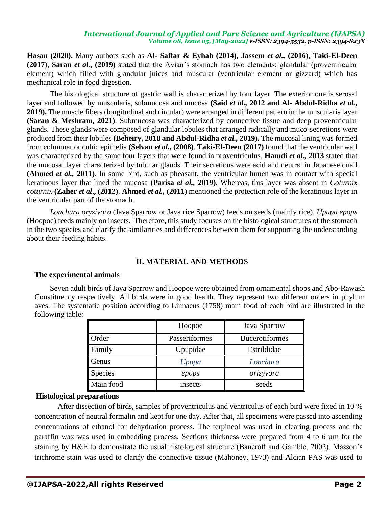**Hasan (2020).** Many authors such as **Al- Saffar & Eyhab (2014), Jassem** *et al.,* **(2016), Taki-El-Deen (2017), Saran** *et al.***, (2019)** stated that the Avian's stomach has two elements; glandular (proventricular element) which filled with glandular juices and muscular (ventricular element or gizzard) which has mechanical role in food digestion.

The histological structure of gastric wall is characterized by four layer. The exterior one is serosal layer and followed by muscularis, submucosa and mucosa **(Said** *et al.,* **2012 and Al- Abdul-Ridha** *et al.,* **2019).** The muscle fibers (longitudinal and circular) were arranged in different pattern in the muscularis layer **(Saran & Meshram, 2021)**. Submucosa was characterized by connective tissue and deep proventricular glands. These glands were composed of glandular lobules that arranged radically and muco-secretions were produced from their lobules **(Beheiry, 2018 and Abdul-Ridha** *et al.,* **2019).** The mucosal lining was formed from columnar or cubic epithelia **(Selvan** *et al***., (2008)**. **Taki-El-Deen (2017)** found that the ventricular wall was characterized by the same four layers that were found in proventriculus. **Hamdi** *et al.,* **2013** stated that the mucosal layer characterized by tubular glands. Their secretions were acid and neutral in Japanese quail **(Ahmed** *et al.,* **2011)**. In some bird, such as pheasant, the ventricular lumen was in contact with special keratinous layer that lined the mucosa **(Parisa** *et al.,* **2019).** Whereas, this layer was absent in *Coturnix coturnix* **(Zaher** *et al***., (2012)**. **Ahmed** *et al.,* **(2011)** mentioned the protection role of the keratinous layer in the ventricular part of the stomach.

*Lonchura oryzivora* (Java Sparrow or Java rice Sparrow) feeds on seeds (mainly rice). *Upupa epops* (Hoopoe) feeds mainly on insects. Therefore, this study focuses on the histological structures of the stomach in the two species and clarify the similarities and differences between them for supporting the understanding about their feeding habits.

# **II. MATERIAL AND METHODS**

### **The experimental animals**

Seven adult birds of Java Sparrow and Hoopoe were obtained from ornamental shops and Abo-Rawash Constituency respectively. All birds were in good health. They represent two different orders in phylum aves. The systematic position according to Linnaeus (1758) main food of each bird are illustrated in the following table:

|           | Hoopoe        | Java Sparrow          |
|-----------|---------------|-----------------------|
| Order     | Passeriformes | <b>Bucerotiformes</b> |
| Family    | Upupidae      | Estrildidae           |
| Genus     | Upupa         | Lonchura              |
| Species   | epops         | orizyvora             |
| Main food | insects       | seeds                 |

# **Histological preparations**

After dissection of birds, samples of proventriculus and ventriculus of each bird were fixed in 10 % concentration of neutral formalin and kept for one day. After that, all specimens were passed into ascending concentrations of ethanol for dehydration process. The terpineol was used in clearing process and the paraffin wax was used in embedding process. Sections thickness were prepared from 4 to 6 µm for the staining by H&E to demonstrate the usual histological structure (Bancroft and Gamble, 2002). Masson's trichrome stain was used to clarify the connective tissue (Mahoney, 1973) and Alcian PAS was used to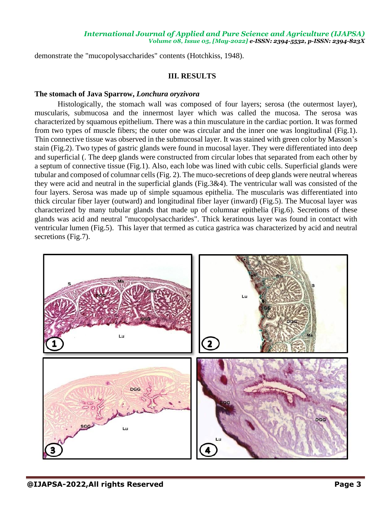demonstrate the "mucopolysaccharides" contents (Hotchkiss, 1948).

# **III. RESULTS**

# **The stomach of Java Sparrow,** *Lonchura oryzivora*

Histologically, the stomach wall was composed of four layers; serosa (the outermost layer), muscularis, submucosa and the innermost layer which was called the mucosa. The serosa was characterized by squamous epithelium. There was a thin musculature in the cardiac portion. It was formed from two types of muscle fibers; the outer one was circular and the inner one was longitudinal (Fig.1). Thin connective tissue was observed in the submucosal layer. It was stained with green color by Masson's stain (Fig.2). Two types of gastric glands were found in mucosal layer. They were differentiated into deep and superficial (. The deep glands were constructed from circular lobes that separated from each other by a septum of connective tissue (Fig.1). Also, each lobe was lined with cubic cells. Superficial glands were tubular and composed of columnar cells (Fig. 2). The muco-secretions of deep glands were neutral whereas they were acid and neutral in the superficial glands (Fig.3&4). The ventricular wall was consisted of the four layers. Serosa was made up of simple squamous epithelia. The muscularis was differentiated into thick circular fiber layer (outward) and longitudinal fiber layer (inward) (Fig.5). The Mucosal layer was characterized by many tubular glands that made up of columnar epithelia (Fig.6). Secretions of these glands was acid and neutral "mucopolysaccharides". Thick keratinous layer was found in contact with ventricular lumen (Fig.5). This layer that termed as cutica gastrica was characterized by acid and neutral secretions (Fig.7).

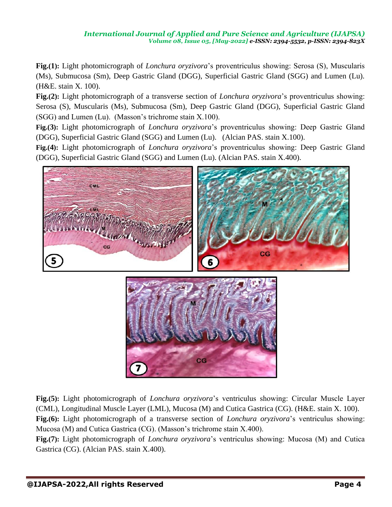**Fig.(1):** Light photomicrograph of *Lonchura oryzivora*'s proventriculus showing: Serosa (S), Muscularis (Ms), Submucosa (Sm), Deep Gastric Gland (DGG), Superficial Gastric Gland (SGG) and Lumen (Lu). (H&E. stain X. 100).

**Fig.(2):** Light photomicrograph of a transverse section of *Lonchura oryzivora*'s proventriculus showing: Serosa (S), Muscularis (Ms), Submucosa (Sm), Deep Gastric Gland (DGG), Superficial Gastric Gland (SGG) and Lumen (Lu). (Masson's trichrome stain X.100).

**Fig.(3):** Light photomicrograph of *Lonchura oryzivora*'s proventriculus showing: Deep Gastric Gland (DGG), Superficial Gastric Gland (SGG) and Lumen (Lu). (Alcian PAS. stain X.100).

**Fig.(4):** Light photomicrograph of *Lonchura oryzivora*'s proventriculus showing: Deep Gastric Gland (DGG), Superficial Gastric Gland (SGG) and Lumen (Lu). (Alcian PAS. stain X.400).



**Fig.(5):** Light photomicrograph of *Lonchura oryzivora*'s ventriculus showing: Circular Muscle Layer (CML), Longitudinal Muscle Layer (LML), Mucosa (M) and Cutica Gastrica (CG). (H&E. stain X. 100). **Fig.(6):** Light photomicrograph of a transverse section of *Lonchura oryzivora*'s ventriculus showing: Mucosa (M) and Cutica Gastrica (CG). (Masson's trichrome stain X.400).

**Fig.(7):** Light photomicrograph of *Lonchura oryzivora*'s ventriculus showing: Mucosa (M) and Cutica Gastrica (CG). (Alcian PAS. stain X.400).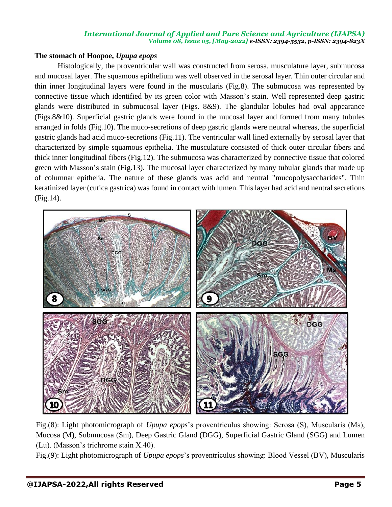# **The stomach of Hoopoe,** *Upupa epops*

Histologically, the proventricular wall was constructed from serosa, musculature layer, submucosa and mucosal layer. The squamous epithelium was well observed in the serosal layer. Thin outer circular and thin inner longitudinal layers were found in the muscularis (Fig.8). The submucosa was represented by connective tissue which identified by its green color with Masson's stain. Well represented deep gastric glands were distributed in submucosal layer (Figs. 8&9). The glandular lobules had oval appearance (Figs.8&10). Superficial gastric glands were found in the mucosal layer and formed from many tubules arranged in folds (Fig.10). The muco-secretions of deep gastric glands were neutral whereas, the superficial gastric glands had acid muco-secretions (Fig.11). The ventricular wall lined externally by serosal layer that characterized by simple squamous epithelia. The musculature consisted of thick outer circular fibers and thick inner longitudinal fibers (Fig.12). The submucosa was characterized by connective tissue that colored green with Masson's stain (Fig.13). The mucosal layer characterized by many tubular glands that made up of columnar epithelia. The nature of these glands was acid and neutral "mucopolysaccharides". Thin keratinized layer (cutica gastrica) was found in contact with lumen. This layer had acid and neutral secretions (Fig.14).



Fig.(8): Light photomicrograph of *Upupa epops*'s proventriculus showing: Serosa (S), Muscularis (Ms), Mucosa (M), Submucosa (Sm), Deep Gastric Gland (DGG), Superficial Gastric Gland (SGG) and Lumen (Lu). (Masson's trichrome stain X.40).

Fig.(9): Light photomicrograph of *Upupa epops*'s proventriculus showing: Blood Vessel (BV), Muscularis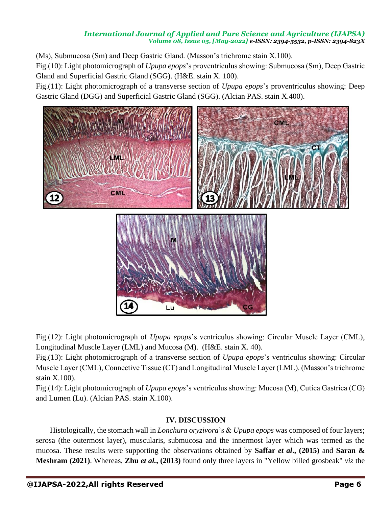(Ms), Submucosa (Sm) and Deep Gastric Gland. (Masson's trichrome stain X.100).

Fig.(10): Light photomicrograph of *Upupa epops*'s proventriculus showing: Submucosa (Sm), Deep Gastric Gland and Superficial Gastric Gland (SGG). (H&E. stain X. 100).

Fig.(11): Light photomicrograph of a transverse section of *Upupa epops*'s proventriculus showing: Deep Gastric Gland (DGG) and Superficial Gastric Gland (SGG). (Alcian PAS. stain X.400).



Fig.(12): Light photomicrograph of *Upupa epops*'s ventriculus showing: Circular Muscle Layer (CML), Longitudinal Muscle Layer (LML) and Mucosa (M). (H&E. stain X. 40).

Fig.(13): Light photomicrograph of a transverse section of *Upupa epops*'s ventriculus showing: Circular Muscle Layer (CML), Connective Tissue (CT) and Longitudinal Muscle Layer (LML). (Masson's trichrome stain X.100).

Fig.(14): Light photomicrograph of *Upupa epops*'s ventriculus showing: Mucosa (M), Cutica Gastrica (CG) and Lumen (Lu). (Alcian PAS. stain X.100).

# **IV. DISCUSSION**

Histologically, the stomach wall in *Lonchura oryzivora*'s & *Upupa epops* was composed of four layers; serosa (the outermost layer), muscularis, submucosa and the innermost layer which was termed as the mucosa. These results were supporting the observations obtained by **Saffar** *et al***., (2015)** and **Saran & Meshram (2021)**. Whereas, **Zhu** *et al.***, (2013)** found only three layers in "Yellow billed grosbeak" *viz* the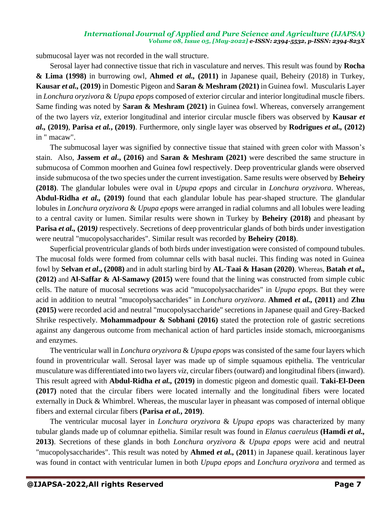submucosal layer was not recorded in the wall structure.

Serosal layer had connective tissue that rich in vasculature and nerves. This result was found by **Rocha & Lima (1998)** in burrowing owl, **Ahmed** *et al.,* **(2011)** in Japanese quail, Beheiry (2018) in Turkey, **Kausar** *et al.,* **(2019)** in Domestic Pigeon and **Saran & Meshram (2021)** in Guinea fowl. Muscularis Layer in *Lonchura oryzivora* & *Upupa epops* composed of exterior circular and interior longitudinal muscle fibers. Same finding was noted by **Saran & Meshram (2021)** in Guinea fowl. Whereas, conversely arrangement of the two layers *viz*, exterior longitudinal and interior circular muscle fibers was observed by **Kausar** *et al.,* **(2019)**, **Parisa** *et al.***, (2019)**. Furthermore, only single layer was observed by **Rodrigues** *et al.,* **(2012)** in " macaw".

The submucosal layer was signified by connective tissue that stained with green color with Masson's stain. Also, **Jassem** *et al***., (2016)** and **Saran & Meshram (2021)** were described the same structure in submucosa of Common moorhen and Guinea fowl respectively. Deep proventricular glands were observed inside submucosa of the two species under the current investigation. Same results were observed by **Beheiry (2018)**. The glandular lobules were oval in *Upupa epops* and circular in *Lonchura oryzivora*. Whereas, **Abdul-Ridha** *et al.,* **(2019)** found that each glandular lobule has pear-shaped structure. The glandular lobules in *Lonchura oryzivora* & *Upupa epops* were arranged in radial columns and all lobules were leading to a central cavity or lumen. Similar results were shown in Turkey by **Beheiry (2018)** and pheasant by **Parisa** *et al.,* **(2019***)* respectively. Secretions of deep proventricular glands of both birds under investigation were neutral "mucopolysaccharides". Similar result was recorded by **Beheiry (2018)**.

Superficial proventricular glands of both birds under investigation were consisted of compound tubules. The mucosal folds were formed from columnar cells with basal nuclei. This finding was noted in Guinea fowl by **Selvan** *et al***., (2008)** and in adult starling bird by **AL-Taai & Hasan (2020)**. Whereas, **Batah** *et al.,*  **(2012)** and **Al-Saffar & Al-Samawy (2015)** were found that the lining was constructed from simple cubic cells. The nature of mucosal secretions was acid "mucopolysaccharides" in *Upupa epops*. But they were acid in addition to neutral "mucopolysaccharides" in *Lonchura oryzivora*. **Ahmed** *et al.,* **(2011)** and **Zhu (2015)** were recorded acid and neutral "mucopolysaccharide" secretions in Japanese quail and Grey-Backed Shrike respectively. **Mohammadpour & Sobhani (2016)** stated the protection role of gastric secretions against any dangerous outcome from mechanical action of hard particles inside stomach, microorganisms and enzymes.

The ventricular wall in *Lonchura oryzivora* & *Upupa epops* was consisted of the same four layers which found in proventricular wall. Serosal layer was made up of simple squamous epithelia. The ventricular musculature was differentiated into two layers *viz*, circular fibers (outward) and longitudinal fibers (inward). This result agreed with **Abdul-Ridha** *et al.,* **(2019)** in domestic pigeon and domestic quail. **Taki-El-Deen (2017)** noted that the circular fibers were located internally and the longitudinal fibers were located externally in Duck & Whimbrel. Whereas, the muscular layer in pheasant was composed of internal oblique fibers and external circular fibers **(Parisa** *et al.***, 2019)**.

The ventricular mucosal layer in *Lonchura oryzivora* & *Upupa epops* was characterized by many tubular glands made up of columnar epithelia. Similar result was found in *Elanus caeruleus* **(Hamdi** *et al.,* **2013)**. Secretions of these glands in both *Lonchura oryzivora* & *Upupa epops* were acid and neutral "mucopolysaccharides". This result was noted by **Ahmed** *et al.,* **(2011**) in Japanese quail. keratinous layer was found in contact with ventricular lumen in both *Upupa epops* and *Lonchura oryzivora* and termed as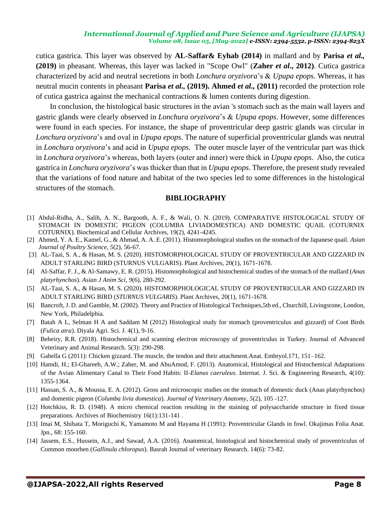cutica gastrica. This layer was observed by **AL-Saffar& Eyhab (2014)** in mallard and by **Parisa** *et al.,* **(2019)** in pheasant. Whereas, this layer was lacked in "Scope Owl" (**Zaher** *et al***., 2012)**. Cutica gastrica characterized by acid and neutral secretions in both *Lonchura oryzivora*'s & *Upupa epops*. Whereas, it has neutral mucin contents in pheasant **Parisa** *et al.,* **(2019). Ahmed** *et al.,* **(2011)** recorded the protection role of cutica gastrica against the mechanical contractions & lumen contents during digestion.

In conclusion, the histological basic structures in the avian 's stomach such as the main wall layers and gastric glands were clearly observed in *Lonchura oryzivora*'s & *Upupa epops*. However, some differences were found in each species. For instance, the shape of proventricular deep gastric glands was circular in *Lonchura oryzivora*'s and oval in *Upupa epops*. The nature of superficial proventricular glands was neutral in *Lonchura oryzivora*'s and acid in *Upupa epops*. The outer muscle layer of the ventricular part was thick in *Lonchura oryzivora*'s whereas, both layers (outer and inner) were thick in *Upupa epops*. Also, the cutica gastrica in *Lonchura oryzivora*'s was thicker than that in *Upupa epops*. Therefore, the present study revealed that the variations of food nature and habitat of the two species led to some differences in the histological structures of the stomach.

#### **BIBLIOGRAPHY**

- [1] Abdul-Ridha, A., Salih, A. N., Bargooth, A. F., & Wali, O. N. (2019). COMPARATIVE HISTOLOGICAL STUDY OF STOMACH IN DOMESTIC PIGEON (COLUMBA LIVIADOMESTICA) AND DOMESTIC QUAIL (COTURNIX COTURNIX). Biochemical and Cellular Archives, 19(2), 4241-4245.
- [2] Ahmed, Y. A. E., Kamel, G., & Ahmad, A. A. E. (2011). Histomorphological studies on the stomach of the Japanese quail. *Asian Journal of Poultry Science*, *5*(2), 56-67.
- [3] AL-Taai, S. A., & Hasan, M. S. (2020). HISTOMORPHOLOGICAL STUDY OF PROVENTRICULAR AND GIZZARD IN ADULT STARLING BIRD (STURNUS VULGARIS). Plant Archives, 20(1), 1671-1678.
- [4] Al-Saffar, F. J., & Al-Samawy, E. R. (2015). Histomorphological and histochemical studies of the stomach of the mallard (*Anas platyrhynchos*). *Asian J Anim Sci*, *9*(6), 280-292.
- [5] AL-Taai, S. A., & Hasan, M. S. (2020). HISTOMORPHOLOGICAL STUDY OF PROVENTRICULAR AND GIZZARD IN ADULT STARLING BIRD (*STURNUS VULGARIS*). Plant Archives, 20(1), 1671-1678.
- [6] Bancroft, J. D. and Gamble, M. (2002). Theory and Practice of Histological Techniques,5th ed., Churchill, Livingstone, London, New York, Philadelphia.
- [7] Batah A L, Selman H A and Saddam M (2012) Histological study for stomach (proventriculus and gizzard) of Coot Birds (*Fulica atra*). Diyala Agri. Sci. J. 4(1), 9-16.
- [8] Beheiry, R.R. (2018). Histochemical and scanning electron microscopy of proventriculus in Turkey. Journal of Advanced Veterinary and Animal Research. 5(3): 290-298.
- [9] Gabella G (2011): Chicken gizzard. The muscle, the tendon and their attachment.Anat. Embryol.171, 151–162.
- [10] Hamdi, H.; El-Ghareeb, A.W.; Zaher, M. and AbuAmod, F. (2013). Anatomical, Histological and Histochemical Adaptations of the Avian Alimentary Canal to Their Food Habits: II-*Elanus caeruleus*. Internat. J. Sci. & Engineering Research, 4(10): 1355-1364.
- [11] Hassan, S. A., & Moussa, E. A. (2012). Gross and microscopic studies on the stomach of domestic duck (Anas platyrhynchos) and domestic pigeon (*Columba livia domestica*). *Journal of Veterinary Anatomy*, *5*(2), 105 -127.
- [12] Hotchkiss, R. D. (1948). A micro chemical reaction resulting in the staining of polysaccharide structure in fixed tissue preparations. Archives of Biochemistry 16(1):131-141 .
- [13] Imai M, Shibata T, Moriguchi K, Yamamoto M and Hayama H (1991): Proventricular Glands in fowl. Okajimas Folia Anat. Jpn., 68: 155-160.
- [14] Jassem, E.S., Hussein, A.J., and Sawad, A.A. (2016). Anatomical, histological and histochemical study of proventriculus of Common moorhen (*Gallinula chloropus*). Basrah Journal of veterinary Research. 14(6): 73-82.